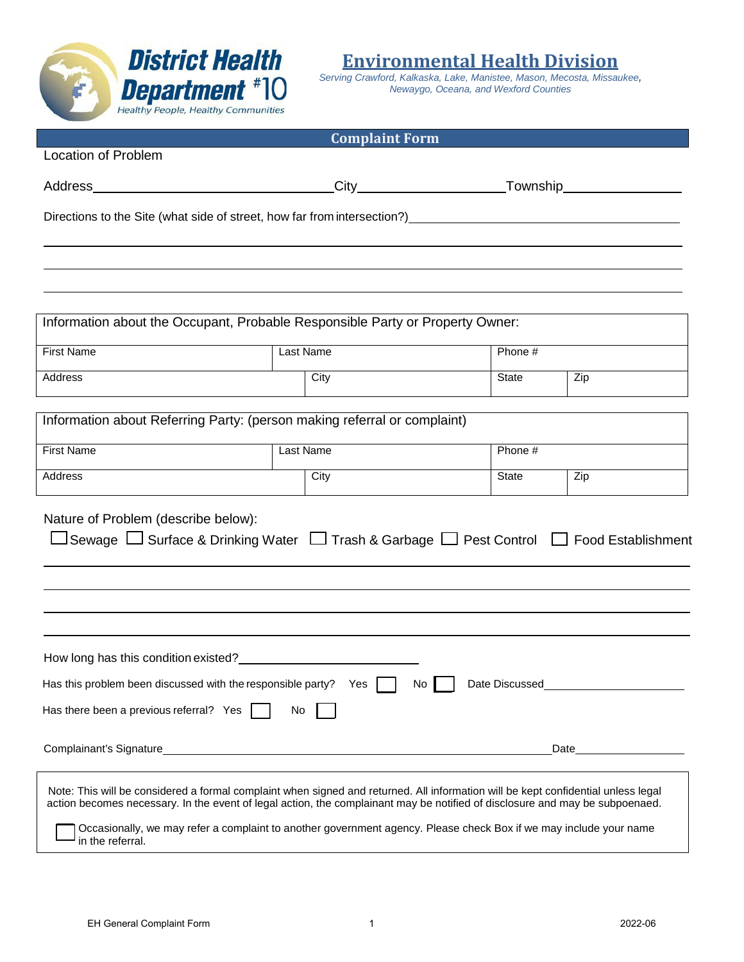

**Environmental Health Division**

*Serving Crawford, Kalkaska, Lake, Manistee, Mason, Mecosta, Missaukee, Newaygo, Oceana, and Wexford Counties*

|                                                                                                                                                                                                                                                                                       | <b>Complaint Form</b>                                                                                             |                   |      |  |
|---------------------------------------------------------------------------------------------------------------------------------------------------------------------------------------------------------------------------------------------------------------------------------------|-------------------------------------------------------------------------------------------------------------------|-------------------|------|--|
| <b>Location of Problem</b>                                                                                                                                                                                                                                                            |                                                                                                                   |                   |      |  |
| Address_                                                                                                                                                                                                                                                                              |                                                                                                                   | _Township________ |      |  |
| Directions to the Site (what side of street, how far from intersection?) entertainment of the Site of Site of Site of Site of Site of Site of Site of Site of Site of Site of Site of Site of Site of Site of Site of Site of                                                         |                                                                                                                   |                   |      |  |
|                                                                                                                                                                                                                                                                                       |                                                                                                                   |                   |      |  |
|                                                                                                                                                                                                                                                                                       |                                                                                                                   |                   |      |  |
|                                                                                                                                                                                                                                                                                       |                                                                                                                   |                   |      |  |
| Information about the Occupant, Probable Responsible Party or Property Owner:                                                                                                                                                                                                         |                                                                                                                   |                   |      |  |
| <b>First Name</b>                                                                                                                                                                                                                                                                     | Last Name                                                                                                         | Phone #           |      |  |
| Address                                                                                                                                                                                                                                                                               | City                                                                                                              | State             | Zip  |  |
| Information about Referring Party: (person making referral or complaint)                                                                                                                                                                                                              |                                                                                                                   |                   |      |  |
|                                                                                                                                                                                                                                                                                       |                                                                                                                   |                   |      |  |
| <b>First Name</b>                                                                                                                                                                                                                                                                     | <b>Last Name</b>                                                                                                  | Phone #           |      |  |
| Address                                                                                                                                                                                                                                                                               | City                                                                                                              | State             | Zip  |  |
| Nature of Problem (describe below):<br>□Sewage □ Surface & Drinking Water □ Trash & Garbage □ Pest Control □ Food Establishment                                                                                                                                                       |                                                                                                                   |                   |      |  |
| How long has this condition existed?                                                                                                                                                                                                                                                  |                                                                                                                   |                   |      |  |
| Has this problem been discussed with the responsible party? Yes<br>Date Discussed<br>No                                                                                                                                                                                               |                                                                                                                   |                   |      |  |
| Has there been a previous referral? Yes                                                                                                                                                                                                                                               | No                                                                                                                |                   |      |  |
|                                                                                                                                                                                                                                                                                       |                                                                                                                   |                   | Date |  |
| Note: This will be considered a formal complaint when signed and returned. All information will be kept confidential unless legal<br>action becomes necessary. In the event of legal action, the complainant may be notified of disclosure and may be subpoenaed.<br>in the referral. | Occasionally, we may refer a complaint to another government agency. Please check Box if we may include your name |                   |      |  |